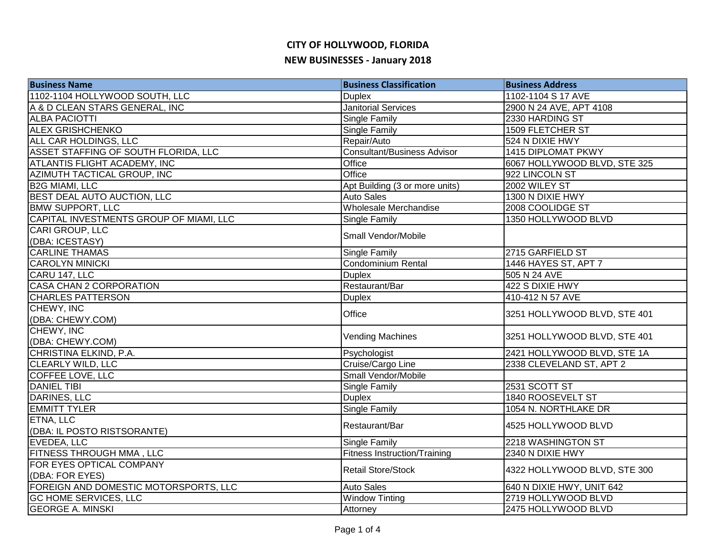| <b>Business Name</b>                    | <b>Business Classification</b>      | <b>Business Address</b>      |
|-----------------------------------------|-------------------------------------|------------------------------|
| 1102-1104 HOLLYWOOD SOUTH, LLC          | <b>Duplex</b>                       | 1102-1104 S 17 AVE           |
| A & D CLEAN STARS GENERAL, INC          | <b>Janitorial Services</b>          | 2900 N 24 AVE, APT 4108      |
| <b>ALBA PACIOTTI</b>                    | Single Family                       | 2330 HARDING ST              |
| <b>ALEX GRISHCHENKO</b>                 | <b>Single Family</b>                | <b>1509 FLETCHER ST</b>      |
| ALL CAR HOLDINGS, LLC                   | Repair/Auto                         | 524 N DIXIE HWY              |
| ASSET STAFFING OF SOUTH FLORIDA, LLC    | <b>Consultant/Business Advisor</b>  | 1415 DIPLOMAT PKWY           |
| ATLANTIS FLIGHT ACADEMY, INC            | Office                              | 6067 HOLLYWOOD BLVD, STE 325 |
| AZIMUTH TACTICAL GROUP, INC             | Office                              | 922 LINCOLN ST               |
| <b>B2G MIAMI, LLC</b>                   | Apt Building (3 or more units)      | 2002 WILEY ST                |
| BEST DEAL AUTO AUCTION, LLC             | <b>Auto Sales</b>                   | 1300 N DIXIE HWY             |
| <b>BMW SUPPORT, LLC</b>                 | Wholesale Merchandise               | 2008 COOLIDGE ST             |
| CAPITAL INVESTMENTS GROUP OF MIAMI, LLC | Single Family                       | 1350 HOLLYWOOD BLVD          |
| CARI GROUP, LLC                         |                                     |                              |
| (DBA: ICESTASY)                         | Small Vendor/Mobile                 |                              |
| <b>CARLINE THAMAS</b>                   | <b>Single Family</b>                | 2715 GARFIELD ST             |
| <b>CAROLYN MINICKI</b>                  | <b>Condominium Rental</b>           | 1446 HAYES ST, APT 7         |
| CARU 147, LLC                           | <b>Duplex</b>                       | 505 N 24 AVE                 |
| <b>CASA CHAN 2 CORPORATION</b>          | Restaurant/Bar                      | 422 S DIXIE HWY              |
| <b>CHARLES PATTERSON</b>                | <b>Duplex</b>                       | 410-412 N 57 AVE             |
| CHEWY, INC                              | Office                              |                              |
| (DBA: CHEWY.COM)                        |                                     | 3251 HOLLYWOOD BLVD, STE 401 |
| CHEWY, INC                              | <b>Vending Machines</b>             | 3251 HOLLYWOOD BLVD, STE 401 |
| (DBA: CHEWY.COM)                        |                                     |                              |
| CHRISTINA ELKIND, P.A.                  | Psychologist                        | 2421 HOLLYWOOD BLVD, STE 1A  |
| <b>CLEARLY WILD, LLC</b>                | Cruise/Cargo Line                   | 2338 CLEVELAND ST, APT 2     |
| <b>COFFEE LOVE, LLC</b>                 | Small Vendor/Mobile                 |                              |
| <b>DANIEL TIBI</b>                      | <b>Single Family</b>                | 2531 SCOTT ST                |
| <b>DARINES, LLC</b>                     | <b>Duplex</b>                       | 1840 ROOSEVELT ST            |
| <b>EMMITT TYLER</b>                     | <b>Single Family</b>                | 1054 N. NORTHLAKE DR         |
| ETNA, LLC                               | Restaurant/Bar                      | 4525 HOLLYWOOD BLVD          |
| (DBA: IL POSTO RISTSORANTE)             |                                     |                              |
| EVEDEA, LLC                             | <b>Single Family</b>                | 2218 WASHINGTON ST           |
| FITNESS THROUGH MMA, LLC                | <b>Fitness Instruction/Training</b> | 2340 N DIXIE HWY             |
| FOR EYES OPTICAL COMPANY                | <b>Retail Store/Stock</b>           | 4322 HOLLYWOOD BLVD, STE 300 |
| (DBA: FOR EYES)                         |                                     |                              |
| FOREIGN AND DOMESTIC MOTORSPORTS, LLC   | <b>Auto Sales</b>                   | 640 N DIXIE HWY, UNIT 642    |
| <b>GC HOME SERVICES, LLC</b>            | <b>Window Tinting</b>               | 2719 HOLLYWOOD BLVD          |
| <b>GEORGE A. MINSKI</b>                 | Attorney                            | 2475 HOLLYWOOD BLVD          |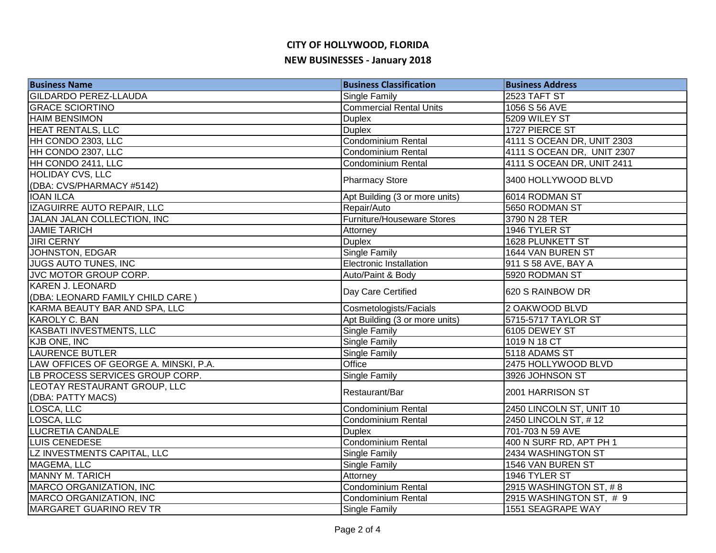| <b>Business Name</b>                  | <b>Business Classification</b>    | <b>Business Address</b>    |
|---------------------------------------|-----------------------------------|----------------------------|
| <b>GILDARDO PEREZ-LLAUDA</b>          | <b>Single Family</b>              | 2523 TAFT ST               |
| <b>GRACE SCIORTINO</b>                | <b>Commercial Rental Units</b>    | 1056 S 56 AVE              |
| <b>HAIM BENSIMON</b>                  | <b>Duplex</b>                     | 5209 WILEY ST              |
| <b>HEAT RENTALS, LLC</b>              | <b>Duplex</b>                     | 1727 PIERCE ST             |
| HH CONDO 2303, LLC                    | Condominium Rental                | 4111 S OCEAN DR, UNIT 2303 |
| HH CONDO 2307, LLC                    | Condominium Rental                | 4111 S OCEAN DR, UNIT 2307 |
| HH CONDO 2411, LLC                    | Condominium Rental                | 4111 S OCEAN DR, UNIT 2411 |
| <b>HOLIDAY CVS, LLC</b>               |                                   | 3400 HOLLYWOOD BLVD        |
| (DBA: CVS/PHARMACY #5142)             | <b>Pharmacy Store</b>             |                            |
| <b>IOAN ILCA</b>                      | Apt Building (3 or more units)    | 6014 RODMAN ST             |
| IZAGUIRRE AUTO REPAIR, LLC            | Repair/Auto                       | 5650 RODMAN ST             |
| JALAN JALAN COLLECTION, INC           | <b>Furniture/Houseware Stores</b> | 3790 N 28 TER              |
| <b>JAMIE TARICH</b>                   | Attorney                          | 1946 TYLER ST              |
| <b>JIRI CERNY</b>                     | <b>Duplex</b>                     | 1628 PLUNKETT ST           |
| JOHNSTON, EDGAR                       | <b>Single Family</b>              | 1644 VAN BUREN ST          |
| <b>JUGS AUTO TUNES, INC</b>           | <b>Electronic Installation</b>    | 911 S 58 AVE, BAY A        |
| JVC MOTOR GROUP CORP.                 | Auto/Paint & Body                 | 5920 RODMAN ST             |
| <b>KAREN J. LEONARD</b>               | Day Care Certified                | 620 S RAINBOW DR           |
| (DBA: LEONARD FAMILY CHILD CARE)      |                                   |                            |
| KARMA BEAUTY BAR AND SPA, LLC         | Cosmetologists/Facials            | 2 OAKWOOD BLVD             |
| KAROLY C. BAN                         | Apt Building (3 or more units)    | 5715-5717 TAYLOR ST        |
| KASBATI INVESTMENTS, LLC              | Single Family                     | 6105 DEWEY ST              |
| <b>KJB ONE, INC</b>                   | <b>Single Family</b>              | 1019 N 18 CT               |
| <b>LAURENCE BUTLER</b>                | <b>Single Family</b>              | 5118 ADAMS ST              |
| LAW OFFICES OF GEORGE A. MINSKI, P.A. | Office                            | 2475 HOLLYWOOD BLVD        |
| LB PROCESS SERVICES GROUP CORP.       | Single Family                     | 3926 JOHNSON ST            |
| LEOTAY RESTAURANT GROUP, LLC          | Restaurant/Bar                    | 2001 HARRISON ST           |
| (DBA: PATTY MACS)                     |                                   |                            |
| LOSCA, LLC                            | <b>Condominium Rental</b>         | 2450 LINCOLN ST, UNIT 10   |
| LOSCA, LLC                            | Condominium Rental                | 2450 LINCOLN ST, #12       |
| <b>LUCRETIA CANDALE</b>               | <b>Duplex</b>                     | 701-703 N 59 AVE           |
| LUIS CENEDESE                         | Condominium Rental                | 400 N SURF RD, APT PH 1    |
| LZ INVESTMENTS CAPITAL, LLC           | Single Family                     | 2434 WASHINGTON ST         |
| MAGEMA, LLC                           | Single Family                     | 1546 VAN BUREN ST          |
| <b>MANNY M. TARICH</b>                | Attorney                          | 1946 TYLER ST              |
| MARCO ORGANIZATION, INC               | Condominium Rental                | 2915 WASHINGTON ST, #8     |
| MARCO ORGANIZATION, INC               | Condominium Rental                | 2915 WASHINGTON ST, #9     |
| MARGARET GUARINO REV TR               | <b>Single Family</b>              | 1551 SEAGRAPE WAY          |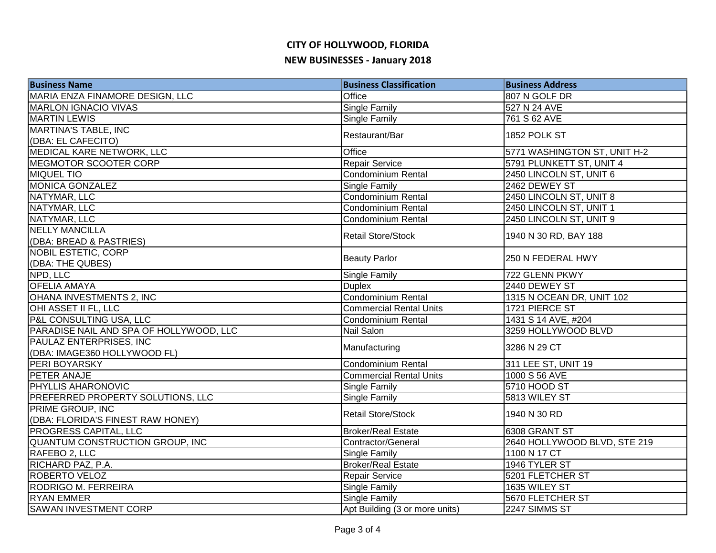| <b>Business Name</b>                     | <b>Business Classification</b> | <b>Business Address</b>      |
|------------------------------------------|--------------------------------|------------------------------|
| MARIA ENZA FINAMORE DESIGN, LLC          | Office                         | 807 N GOLF DR                |
| <b>MARLON IGNACIO VIVAS</b>              | Single Family                  | 527 N 24 AVE                 |
| <b>MARTIN LEWIS</b>                      | <b>Single Family</b>           | 761 S 62 AVE                 |
| <b>MARTINA'S TABLE, INC</b>              |                                | 1852 POLK ST                 |
| (DBA: EL CAFECITO)                       | Restaurant/Bar                 |                              |
| MEDICAL KARE NETWORK, LLC                | Office                         | 5771 WASHINGTON ST, UNIT H-2 |
| MEGMOTOR SCOOTER CORP                    | Repair Service                 | 5791 PLUNKETT ST, UNIT 4     |
| <b>MIQUEL TIO</b>                        | <b>Condominium Rental</b>      | 2450 LINCOLN ST, UNIT 6      |
| <b>MONICA GONZALEZ</b>                   | <b>Single Family</b>           | 2462 DEWEY ST                |
| NATYMAR, LLC                             | <b>Condominium Rental</b>      | 2450 LINCOLN ST, UNIT 8      |
| NATYMAR, LLC                             | <b>Condominium Rental</b>      | 2450 LINCOLN ST, UNIT 1      |
| NATYMAR, LLC                             | <b>Condominium Rental</b>      | 2450 LINCOLN ST, UNIT 9      |
| <b>NELLY MANCILLA</b>                    | <b>Retail Store/Stock</b>      |                              |
| (DBA: BREAD & PASTRIES)                  |                                | 1940 N 30 RD, BAY 188        |
| <b>NOBIL ESTETIC, CORP</b>               |                                |                              |
| (DBA: THE QUBES)                         | <b>Beauty Parlor</b>           | 250 N FEDERAL HWY            |
| NPD, LLC                                 | <b>Single Family</b>           | 722 GLENN PKWY               |
| <b>OFELIA AMAYA</b>                      | <b>Duplex</b>                  | 2440 DEWEY ST                |
| OHANA INVESTMENTS 2, INC                 | <b>Condominium Rental</b>      | 1315 N OCEAN DR, UNIT 102    |
| OHI ASSET II FL, LLC                     | <b>Commercial Rental Units</b> | 1721 PIERCE ST               |
| P&L CONSULTING USA, LLC                  | Condominium Rental             | 1431 S 14 AVE, #204          |
| PARADISE NAIL AND SPA OF HOLLYWOOD, LLC  | Nail Salon                     | 3259 HOLLYWOOD BLVD          |
| PAULAZ ENTERPRISES, INC                  |                                | 3286 N 29 CT                 |
| (DBA: IMAGE360 HOLLYWOOD FL)             | Manufacturing                  |                              |
| PERI BOYARSKY                            | <b>Condominium Rental</b>      | 311 LEE ST, UNIT 19          |
| PETER ANAJE                              | <b>Commercial Rental Units</b> | 1000 S 56 AVE                |
| PHYLLIS AHARONOVIC                       | <b>Single Family</b>           | 5710 HOOD ST                 |
| <b>PREFERRED PROPERTY SOLUTIONS, LLC</b> | <b>Single Family</b>           | 5813 WILEY ST                |
| <b>PRIME GROUP, INC</b>                  |                                |                              |
| (DBA: FLORIDA'S FINEST RAW HONEY)        | <b>Retail Store/Stock</b>      | 1940 N 30 RD                 |
| PROGRESS CAPITAL, LLC                    | <b>Broker/Real Estate</b>      | 6308 GRANT ST                |
| QUANTUM CONSTRUCTION GROUP, INC          | Contractor/General             | 2640 HOLLYWOOD BLVD, STE 219 |
| RAFEBO 2, LLC                            | Single Family                  | 1100 N 17 CT                 |
| RICHARD PAZ, P.A.                        | <b>Broker/Real Estate</b>      | 1946 TYLER ST                |
| ROBERTO VELOZ                            | <b>Repair Service</b>          | 5201 FLETCHER ST             |
| RODRIGO M. FERREIRA                      | <b>Single Family</b>           | 1635 WILEY ST                |
| <b>RYAN EMMER</b>                        | Single Family                  | 5670 FLETCHER ST             |
| <b>SAWAN INVESTMENT CORP</b>             | Apt Building (3 or more units) | 2247 SIMMS ST                |